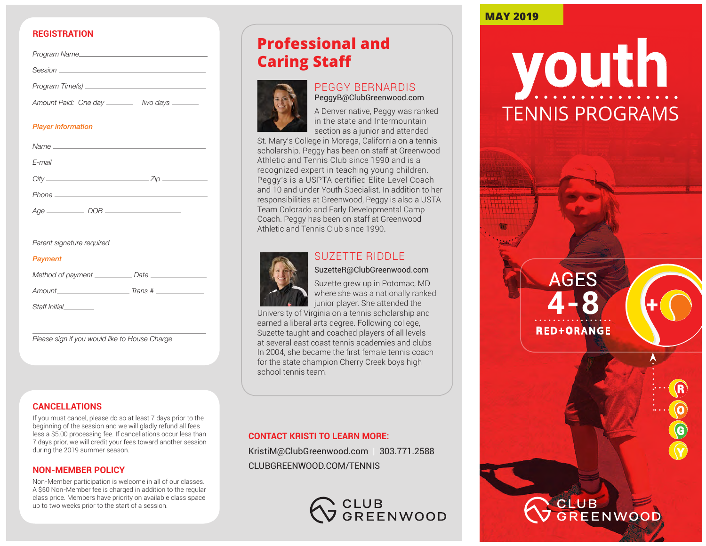#### **REGISTRATION**

| Program Name_           |                 |  |
|-------------------------|-----------------|--|
| Session _______________ |                 |  |
| Program Time(s) ____    |                 |  |
| Amount Paid: One day    | Two days ______ |  |

#### *Player information*

| $City$ and $City$ and $City$ and $City$ and $City$ and $City$ and $City$ and $City$ and $City$ and $City$ |                                                                                                                                                                                                                                | $Z$ ip $\qquad \qquad$ |
|-----------------------------------------------------------------------------------------------------------|--------------------------------------------------------------------------------------------------------------------------------------------------------------------------------------------------------------------------------|------------------------|
|                                                                                                           | Phone experience and the phone of the state of the state of the state of the state of the state of the state of the state of the state of the state of the state of the state of the state of the state of the state of the st |                        |
| $Age \_\_\_\_\_\_\_\_\_\_\_\_\_\_\_\_\_\_\_\_\_\_\_\_\_\_\_\_\_\_\_$                                      | DOB.                                                                                                                                                                                                                           |                        |

*Parent signature required*

#### *Payment*

| Method of payment | Date    |
|-------------------|---------|
| Amount_           | Trans # |
| Staff Initial     |         |

*Please sign if you would like to House Charge*

#### **CANCELLATIONS**

If you must cancel, please do so at least 7 days prior to the beginning of the session and we will gladly refund all fees less a \$5.00 processing fee. If cancellations occur less than 7 days prior, we will credit your fees toward another session during the 2019 summer season.

#### **NON-MEMBER POLICY**

Non-Member participation is welcome in all of our classes. A \$50 Non-Member fee is charged in addition to the regular class price. Members have priority on available class space up to two weeks prior to the start of a session.

# **Professional and Caring Staff**



#### PEGGY BERNARDIS PeggyB@ClubGreenwood.com

A Denver native, Peggy was ranked in the state and Intermountain section as a junior and attended

St. Mary's College in Moraga, California on a tennis scholarship. Peggy has been on staff at Greenwood Athletic and Tennis Club since 1990 and is a recognized expert in teaching young children. Peggy's is a USPTA certified Elite Level Coach and 10 and under Youth Specialist. In addition to her responsibilities at Greenwood, Peggy is also a USTA Team Colorado and Early Developmental Camp Coach. Peggy has been on staff at Greenwood Athletic and Tennis Club since 1990.



### SUZETTE RIDDLE

## SuzetteR@ClubGreenwood.com

Suzette grew up in Potomac, MD where she was a nationally ranked junior player. She attended the

University of Virginia on a tennis scholarship and earned a liberal arts degree. Following college, Suzette taught and coached players of all levels at several east coast tennis academies and clubs In 2004, she became the first female tennis coach for the state champion Cherry Creek boys high school tennis team.

#### **CONTACT KRISTI TO LEARN MORE:**

KristiM@ClubGreenwood.com | 303.771.2588 CLUBGREENWOOD.COM/TENNIS



## **MAY 2019**



AGES

**4-8**

**+**

**R**

**O**

**G**

**Y**

**R**E D+**O**RANGE

CLUB ENWOOD